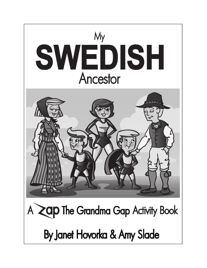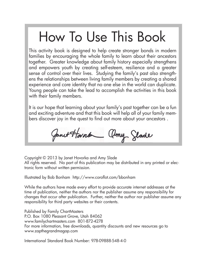## How To Use This Book

This activity book is designed to help create stronger bonds in modern families by encouraging the whole family to learn about their ancestors together. Greater knowledge about family history especially strengthens and empowers youth by creating self-esteem, resilience and a greater sense of control over their lives. Studying the family's past also strengthens the relationships between living family members by creating a shared experience and core identity that no one else in the world can duplicate. Young people can take the lead to accomplish the activities in this book with their family members.

It is our hope that learning about your family's past together can be a fun and exciting adventure and that this book will help all of your family members discover joy in the quest to find out more about your ancestors .

Janet Harold amy Slade

Copyright © 2013 by Janet Hovorka and Amy Slade All rights reserved. No part of this publication may be distributed in any printed or electronic form without written permission.

Illustrated by Bob Bonham http://www.coroflot.com/bbonham

While the authors have made every effort to provide accurate internet addresses at the time of publication, neither the authors nor the publisher assume any responsibility for changes that occur after publication. Further, neither the author nor publisher assume any responsibility for third party websites or their contents.

Published by Family ChartMasters P.O. Box 1080 Pleasant Grove, Utah 84062 www.familychartmasters.com 801-872-4278 For more information, free downloads, quantity discounts and new resources go to www.zapthegrandmagap.com

International Standard Book Number: 978-09888-548-4-0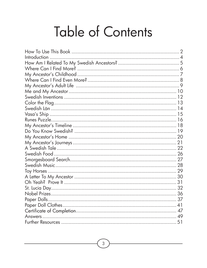# Table of Contents